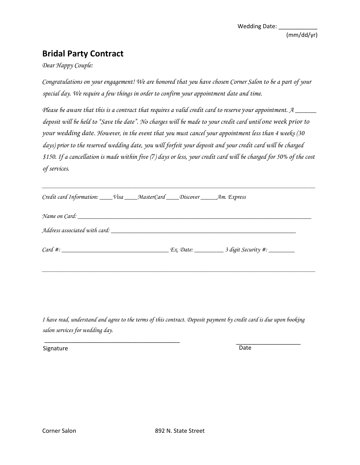## **Bridal Party Contract**

## *Dear Happy Couple:*

*Congratulations on your engagement! We are honored you chose Corner Salon to be a part of your special day. We require a few things in order to confirm your appointment date and time.* 

*Please be aware that this contract requires a valid credit card to reserve your appointment. A \_\_\_\_\_\_ deposit will be held to "Save the date". No other charges will be made to your credit card until one week prior to your wedding date. However, Gaat you must cancel your appointment less than GVSweeks (30 days) prior to the reserved wedding date, you will forfeit your deposit and your credit card will be charged \$150. If a cancellation is made within seven* (7) days or less, your credit card will be charged 50**SDDf** the cost of *services.* 

**\_\_\_\_\_\_\_\_\_\_\_\_\_\_\_\_\_\_\_\_\_\_\_\_\_\_\_\_\_\_\_\_\_\_\_\_\_\_\_\_\_\_\_\_\_\_\_\_\_\_\_\_\_\_\_\_\_\_\_\_\_\_\_\_\_\_\_\_\_\_\_\_\_\_\_\_** 

| Credit card Information: ____Visa ____MasterCard ____Discover ______Am. Express |  |
|---------------------------------------------------------------------------------|--|
|                                                                                 |  |
|                                                                                 |  |
|                                                                                 |  |

*I have read*<sup>8</sup> *understPPEUDPSBU and agree to* **U** *terms Deposit payment by credit card is due upon booking* salon services for  $\angle$ *PVS* wedding day.

\_\_\_\_\_\_\_\_\_\_\_\_\_\_\_\_\_\_\_\_\_\_\_\_\_\_\_\_\_\_\_\_\_\_\_\_\_\_\_\_\_\_ \_\_\_\_\_\_\_\_\_\_\_\_\_\_\_\_\_\_\_\_

Signature Date Date Communications and Date Date Date Date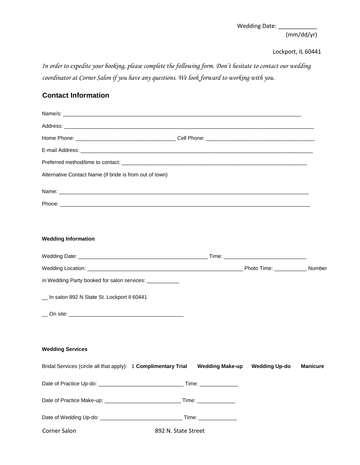*In order to expedite your booking, please complete the following form. Don't hesitate to contact our wedding coordinator at Corner Salon if you have any questions. We look forward to working with you.* 

## **Contact Information**

| Alternative Contact Name (If Bride Is From Out of Town)                         |                     |                      |                 |
|---------------------------------------------------------------------------------|---------------------|----------------------|-----------------|
|                                                                                 |                     |                      |                 |
|                                                                                 |                     |                      |                 |
|                                                                                 |                     |                      |                 |
| <b>Wedding Information</b>                                                      |                     |                      |                 |
|                                                                                 |                     |                      |                 |
|                                                                                 |                     |                      |                 |
| in Wedding Party Booked for Salon Services: ____________                        |                     |                      |                 |
| _ At Corner Salon 892 N State St. Lockport II 60441                             |                     |                      |                 |
|                                                                                 |                     |                      |                 |
|                                                                                 |                     |                      |                 |
| <b>Wedding Services</b>                                                         |                     |                      |                 |
| Bridal Services (Circle All That Apply): One Complimentary TrialWedding Make-up |                     | <b>Wedding Up-do</b> | <b>Manicure</b> |
|                                                                                 |                     |                      |                 |
|                                                                                 |                     |                      |                 |
|                                                                                 |                     |                      |                 |
| Corner Salon                                                                    | 892 N. State Street |                      |                 |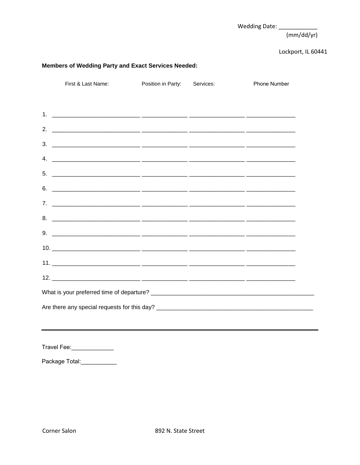Wedding Date: \_\_\_\_\_\_\_\_\_\_

 $(mm/dd/yr)$ 

Lockport, IL 60441

| First and Last Name: |                    |           |                     |
|----------------------|--------------------|-----------|---------------------|
|                      | Position in Party: | Services: | <b>Phone Number</b> |
|                      |                    |           |                     |
|                      |                    |           |                     |
|                      |                    |           |                     |
|                      |                    |           |                     |
|                      |                    |           |                     |
|                      |                    |           |                     |
|                      |                    |           |                     |
|                      |                    |           |                     |
|                      |                    |           |                     |
|                      |                    |           |                     |
|                      |                    |           |                     |
|                      |                    |           |                     |
|                      |                    |           |                     |
|                      |                    |           |                     |
|                      |                    |           |                     |
|                      |                    |           |                     |

Service Total: \_\_\_\_\_\_\_\_\_\_\_\_\_\_\_\_\_\_\_\_

| 3% Credit Card Fee: |  |
|---------------------|--|
|---------------------|--|

Travel Fee: \_\_\_\_\_\_\_\_\_\_\_\_\_\_\_\_\_\_\_\_\_

Gratuity 20% Fee: \_\_\_\_\_\_\_\_\_\_\_\_\_\_

Package Total: \_\_\_\_\_\_\_\_\_\_\_\_\_\_\_\_\_\_